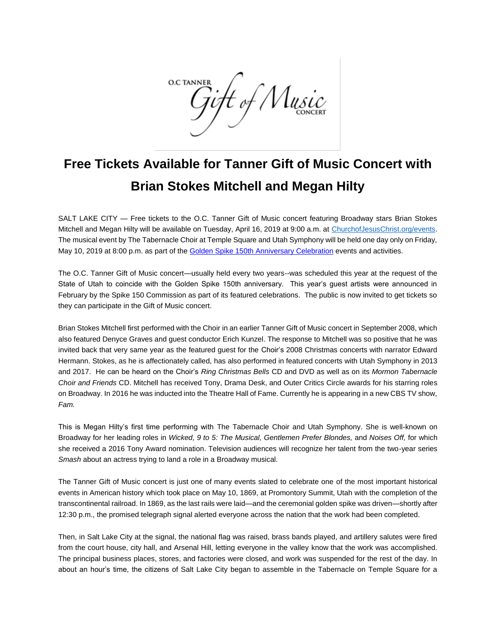**O.C TANNER** <del>j</del>ift of Music

## **Free Tickets Available for Tanner Gift of Music Concert with Brian Stokes Mitchell and Megan Hilty**

SALT LAKE CITY — Free tickets to the O.C. Tanner Gift of Music concert featuring Broadway stars Brian Stokes Mitchell and Megan Hilty will be available on Tuesday, April 16, 2019 at 9:00 a.m. at [ChurchofJesusChrist.org/events.](http://www.churchofjesuschrist.org/events) The musical event by The Tabernacle Choir at Temple Square and Utah Symphony will be held one day only on Friday, May 10, 2019 at 8:00 p.m. as part of the [Golden Spike 150th Anniversary](http://www.spike150.org/) Celebration events and activities.

The O.C. Tanner Gift of Music concert—usually held every two years--was scheduled this year at the request of the State of Utah to coincide with the Golden Spike 150th anniversary. This year's guest artists were announced in February by the Spike 150 Commission as part of its featured celebrations. The public is now invited to get tickets so they can participate in the Gift of Music concert.

Brian Stokes Mitchell first [performed with the Choir](https://www.thetabernaclechoir.org/about/guest-artists/brian-stokes-mitchell.html) in an earlier Tanner Gift of Music concert in September 2008, which also featured Denyce Graves and guest conductor Erich Kunzel. The response to Mitchell was so positive that he was invited back that very same year as the featured guest for the Choir's 2008 Christmas concerts with narrator Edward Hermann. Stokes, as he is affectionately called, has also performed in featured concerts with Utah Symphony in 2013 and 2017. He can be heard on the Choir's *Ring Christmas Bells* CD and DVD as well as on its *Mormon Tabernacle Choir and Friends* CD. Mitchell has received Tony, Drama Desk, and Outer Critics Circle awards for his starring roles on Broadway. In 2016 he was inducted into the Theatre Hall of Fame. Currently he is appearing in a new CBS TV show, *Fam.*

This is Megan Hilty's first time performing with The Tabernacle Choir and Utah Symphony. She is well-known on Broadway for her leading roles in *Wicked, 9 to 5: The Musical, Gentlemen Prefer Blondes,* and *Noises Off,* for which she received a 2016 Tony Award nomination. Television audiences will recognize her talent from the two-year series *Smash* about an actress trying to land a role in a Broadway musical.

The Tanner Gift of Music concert is just one of many events slated to celebrate one of the most important historical events in American history which took place on May 10, 1869, at Promontory Summit, Utah with the completion of the transcontinental railroad. In 1869, as the last rails were laid—and the ceremonial golden spike was driven—shortly after 12:30 p.m., the promised telegraph signal alerted everyone across the nation that the work had been completed.

Then, in Salt Lake City at the signal, the national flag was raised, brass bands played, and artillery salutes were fired from the court house, city hall, and Arsenal Hill, letting everyone in the valley know that the work was accomplished. The principal business places, stores, and factories were closed, and work was suspended for the rest of the day. In about an hour's time, the citizens of Salt Lake City began to assemble in the Tabernacle on Temple Square for a